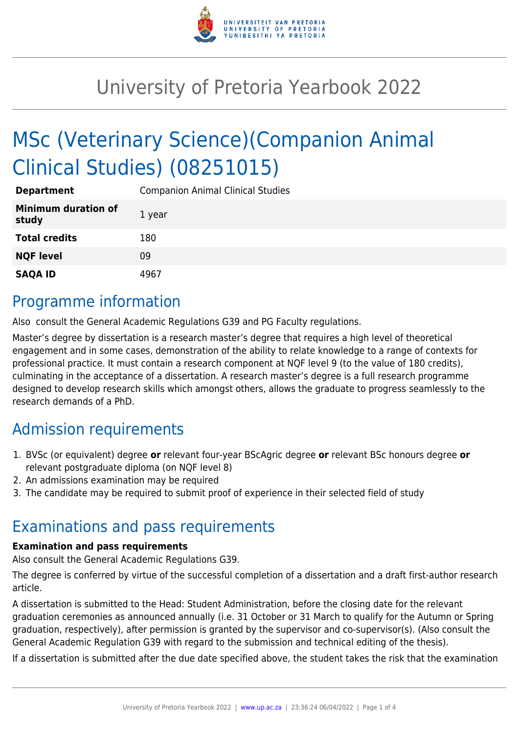

# University of Pretoria Yearbook 2022

# MSc (Veterinary Science)(Companion Animal Clinical Studies) (08251015)

| <b>Department</b>                   | <b>Companion Animal Clinical Studies</b> |
|-------------------------------------|------------------------------------------|
| <b>Minimum duration of</b><br>study | 1 year                                   |
| <b>Total credits</b>                | 180                                      |
| <b>NQF level</b>                    | 09                                       |
| <b>SAQA ID</b>                      | 4967                                     |

### Programme information

Also consult the General Academic Regulations G39 and PG Faculty regulations.

Master's degree by dissertation is a research master's degree that requires a high level of theoretical engagement and in some cases, demonstration of the ability to relate knowledge to a range of contexts for professional practice. It must contain a research component at NQF level 9 (to the value of 180 credits), culminating in the acceptance of a dissertation. A research master's degree is a full research programme designed to develop research skills which amongst others, allows the graduate to progress seamlessly to the research demands of a PhD.

## Admission requirements

- 1. BVSc (or equivalent) degree **or** relevant four-year BScAgric degree **or** relevant BSc honours degree **or** relevant postgraduate diploma (on NQF level 8)
- 2. An admissions examination may be required
- 3. The candidate may be required to submit proof of experience in their selected field of study

### Examinations and pass requirements

#### **Examination and pass requirements**

Also consult the General Academic Regulations G39.

The degree is conferred by virtue of the successful completion of a dissertation and a draft first-author research article.

A dissertation is submitted to the Head: Student Administration, before the closing date for the relevant graduation ceremonies as announced annually (i.e. 31 October or 31 March to qualify for the Autumn or Spring graduation, respectively), after permission is granted by the supervisor and co-supervisor(s). (Also consult the General Academic Regulation G39 with regard to the submission and technical editing of the thesis).

If a dissertation is submitted after the due date specified above, the student takes the risk that the examination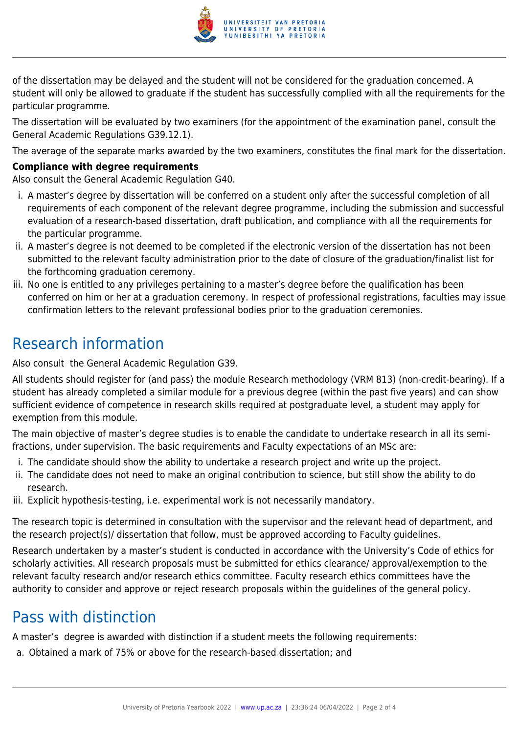

of the dissertation may be delayed and the student will not be considered for the graduation concerned. A student will only be allowed to graduate if the student has successfully complied with all the requirements for the particular programme.

The dissertation will be evaluated by two examiners (for the appointment of the examination panel, consult the General Academic Regulations G39.12.1).

The average of the separate marks awarded by the two examiners, constitutes the final mark for the dissertation.

#### **Compliance with degree requirements**

Also consult the General Academic Regulation G40.

- i. A master's degree by dissertation will be conferred on a student only after the successful completion of all requirements of each component of the relevant degree programme, including the submission and successful evaluation of a research-based dissertation, draft publication, and compliance with all the requirements for the particular programme.
- ii. A master's degree is not deemed to be completed if the electronic version of the dissertation has not been submitted to the relevant faculty administration prior to the date of closure of the graduation/finalist list for the forthcoming graduation ceremony.
- iii. No one is entitled to any privileges pertaining to a master's degree before the qualification has been conferred on him or her at a graduation ceremony. In respect of professional registrations, faculties may issue confirmation letters to the relevant professional bodies prior to the graduation ceremonies.

## Research information

Also consult the General Academic Regulation G39.

All students should register for (and pass) the module Research methodology (VRM 813) (non-credit-bearing). If a student has already completed a similar module for a previous degree (within the past five years) and can show sufficient evidence of competence in research skills required at postgraduate level, a student may apply for exemption from this module.

The main objective of master's degree studies is to enable the candidate to undertake research in all its semifractions, under supervision. The basic requirements and Faculty expectations of an MSc are:

- i. The candidate should show the ability to undertake a research project and write up the project.
- ii. The candidate does not need to make an original contribution to science, but still show the ability to do research.
- iii. Explicit hypothesis-testing, i.e. experimental work is not necessarily mandatory.

The research topic is determined in consultation with the supervisor and the relevant head of department, and the research project(s)/ dissertation that follow, must be approved according to Faculty guidelines.

Research undertaken by a master's student is conducted in accordance with the University's Code of ethics for scholarly activities. All research proposals must be submitted for ethics clearance/ approval/exemption to the relevant faculty research and/or research ethics committee. Faculty research ethics committees have the authority to consider and approve or reject research proposals within the guidelines of the general policy.

### Pass with distinction

A master's degree is awarded with distinction if a student meets the following requirements:

a. Obtained a mark of 75% or above for the research-based dissertation; and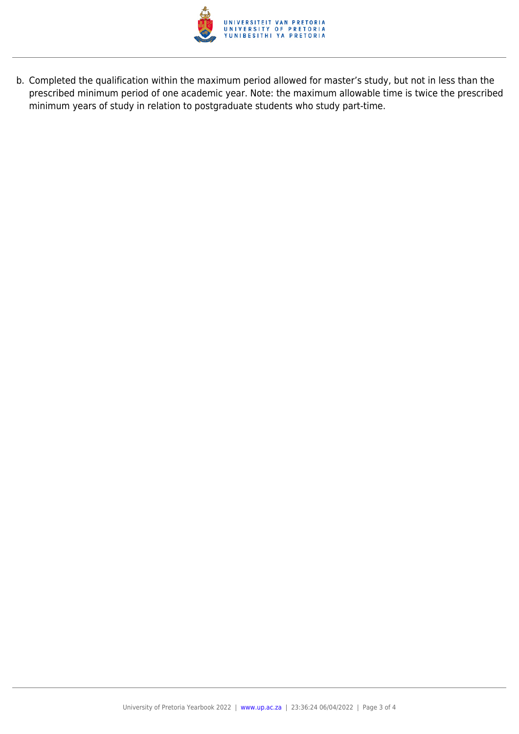

b. Completed the qualification within the maximum period allowed for master's study, but not in less than the prescribed minimum period of one academic year. Note: the maximum allowable time is twice the prescribed minimum years of study in relation to postgraduate students who study part-time.